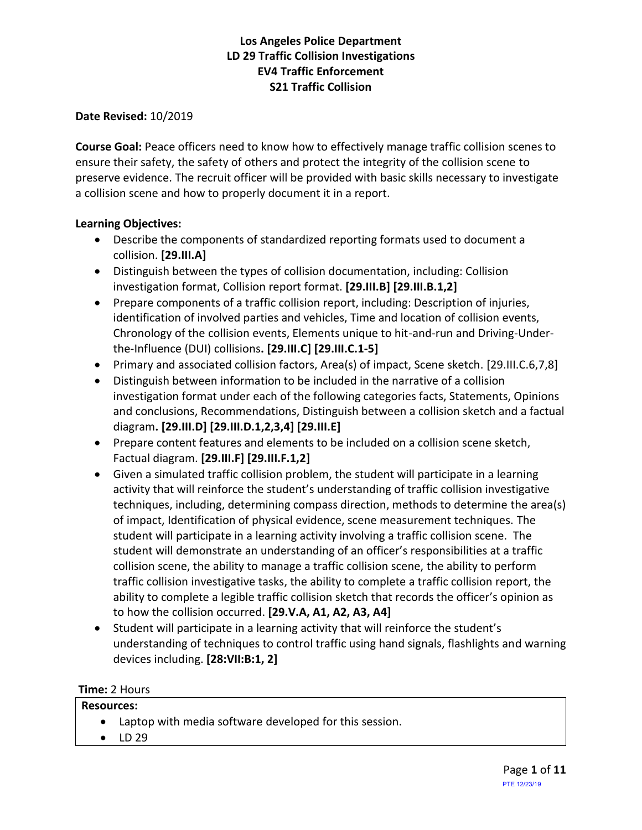**Date Revised:** 10/2019

**Course Goal:** Peace officers need to know how to effectively manage traffic collision scenes to ensure their safety, the safety of others and protect the integrity of the collision scene to preserve evidence. The recruit officer will be provided with basic skills necessary to investigate a collision scene and how to properly document it in a report.

#### **Learning Objectives:**

- Describe the components of standardized reporting formats used to document a collision. **[29.III.A]**
- Distinguish between the types of collision documentation, including: Collision investigation format, Collision report format. **[29.III.B] [29.III.B.1,2]**
- Prepare components of a traffic collision report, including: Description of injuries, identification of involved parties and vehicles, Time and location of collision events, Chronology of the collision events, Elements unique to hit-and-run and Driving-Underthe-Influence (DUI) collisions**. [29.III.C] [29.III.C.1-5]**
- Primary and associated collision factors, Area(s) of impact, Scene sketch. [29.III.C.6,7,8]
- Distinguish between information to be included in the narrative of a collision investigation format under each of the following categories facts, Statements, Opinions and conclusions, Recommendations, Distinguish between a collision sketch and a factual diagram**. [29.III.D] [29.III.D.1,2,3,4] [29.III.E]**
- Prepare content features and elements to be included on a collision scene sketch, Factual diagram. **[29.III.F] [29.III.F.1,2]**
- Given a simulated traffic collision problem, the student will participate in a learning activity that will reinforce the student's understanding of traffic collision investigative techniques, including, determining compass direction, methods to determine the area(s) of impact, Identification of physical evidence, scene measurement techniques. The student will participate in a learning activity involving a traffic collision scene. The student will demonstrate an understanding of an officer's responsibilities at a traffic collision scene, the ability to manage a traffic collision scene, the ability to perform traffic collision investigative tasks, the ability to complete a traffic collision report, the ability to complete a legible traffic collision sketch that records the officer's opinion as to how the collision occurred. **[29.V.A, A1, A2, A3, A4]**
- Student will participate in a learning activity that will reinforce the student's understanding of techniques to control traffic using hand signals, flashlights and warning devices including. **[28:VII:B:1, 2]**

#### **Time:** 2 Hours

| <b>Resources:</b> |  |                                                          |  |  |
|-------------------|--|----------------------------------------------------------|--|--|
|                   |  | • Laptop with media software developed for this session. |  |  |
|                   |  | $\bullet$ LD 29                                          |  |  |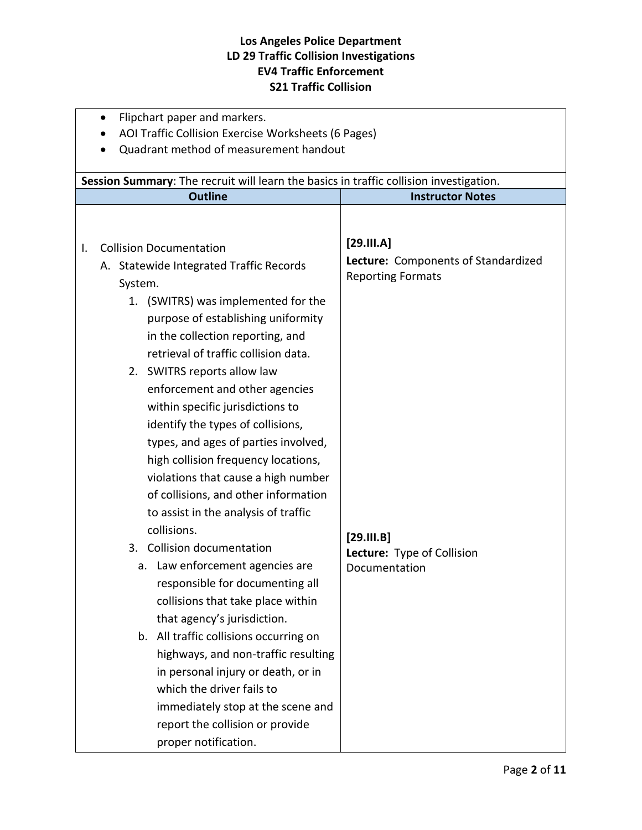|    | Flipchart paper and markers.<br>$\bullet$                                                                                                                                                                                                                                                                                                                                                  |                                                                                                          |  |  |
|----|--------------------------------------------------------------------------------------------------------------------------------------------------------------------------------------------------------------------------------------------------------------------------------------------------------------------------------------------------------------------------------------------|----------------------------------------------------------------------------------------------------------|--|--|
|    | AOI Traffic Collision Exercise Worksheets (6 Pages)                                                                                                                                                                                                                                                                                                                                        |                                                                                                          |  |  |
|    | Quadrant method of measurement handout                                                                                                                                                                                                                                                                                                                                                     |                                                                                                          |  |  |
|    | Session Summary: The recruit will learn the basics in traffic collision investigation.                                                                                                                                                                                                                                                                                                     |                                                                                                          |  |  |
|    |                                                                                                                                                                                                                                                                                                                                                                                            |                                                                                                          |  |  |
| Ι. | <b>Outline</b><br><b>Collision Documentation</b><br>A. Statewide Integrated Traffic Records<br>System.<br>(SWITRS) was implemented for the<br>1.<br>purpose of establishing uniformity<br>in the collection reporting, and<br>retrieval of traffic collision data.<br>2. SWITRS reports allow law<br>enforcement and other agencies<br>within specific jurisdictions to                    | <b>Instructor Notes</b><br>[29.III.A]<br>Lecture: Components of Standardized<br><b>Reporting Formats</b> |  |  |
|    | identify the types of collisions,<br>types, and ages of parties involved,<br>high collision frequency locations,<br>violations that cause a high number<br>of collisions, and other information<br>to assist in the analysis of traffic<br>collisions.                                                                                                                                     |                                                                                                          |  |  |
|    | <b>Collision documentation</b><br>3.                                                                                                                                                                                                                                                                                                                                                       | [29.11. B]<br>Lecture: Type of Collision                                                                 |  |  |
|    | a. Law enforcement agencies are<br>responsible for documenting all<br>collisions that take place within<br>that agency's jurisdiction.<br>b. All traffic collisions occurring on<br>highways, and non-traffic resulting<br>in personal injury or death, or in<br>which the driver fails to<br>immediately stop at the scene and<br>report the collision or provide<br>proper notification. | Documentation                                                                                            |  |  |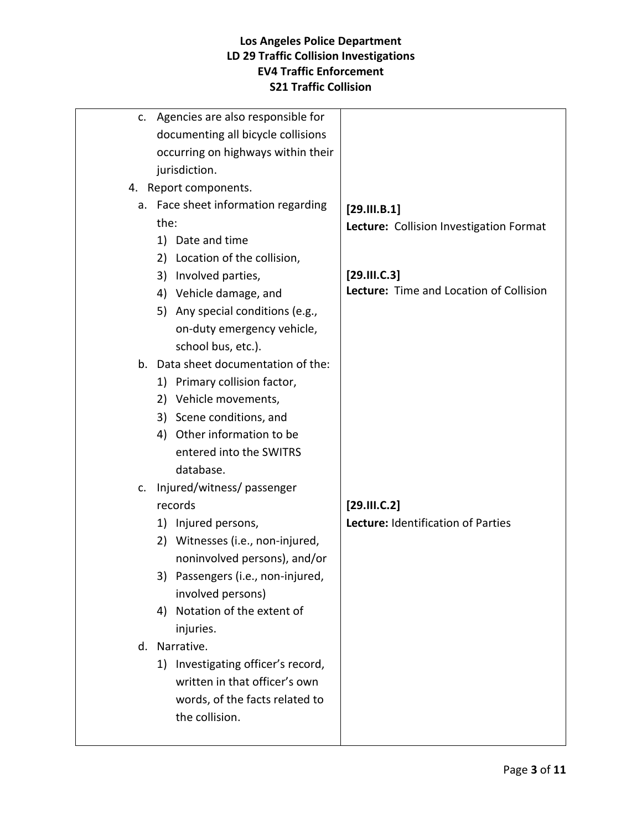| c. | Agencies are also responsible for   |                                         |
|----|-------------------------------------|-----------------------------------------|
|    | documenting all bicycle collisions  |                                         |
|    | occurring on highways within their  |                                         |
|    | jurisdiction.                       |                                         |
|    | 4. Report components.               |                                         |
|    | a. Face sheet information regarding | [29.111. B.1]                           |
|    | the:                                | Lecture: Collision Investigation Format |
|    | 1) Date and time                    |                                         |
|    | 2) Location of the collision,       |                                         |
|    | 3) Involved parties,                | [29.111.C.3]                            |
|    | 4) Vehicle damage, and              | Lecture: Time and Location of Collision |
|    | 5) Any special conditions (e.g.,    |                                         |
|    | on-duty emergency vehicle,          |                                         |
|    | school bus, etc.).                  |                                         |
|    | b. Data sheet documentation of the: |                                         |
|    | 1) Primary collision factor,        |                                         |
|    | 2) Vehicle movements,               |                                         |
|    | 3) Scene conditions, and            |                                         |
| 4) | Other information to be             |                                         |
|    | entered into the SWITRS             |                                         |
|    | database.                           |                                         |
| c. | Injured/witness/ passenger          |                                         |
|    | records                             | [29.111.C.2]                            |
|    | 1) Injured persons,                 | Lecture: Identification of Parties      |
|    | 2) Witnesses (i.e., non-injured,    |                                         |
|    | noninvolved persons), and/or        |                                         |
|    | 3) Passengers (i.e., non-injured,   |                                         |
|    | involved persons)                   |                                         |
| 4) | Notation of the extent of           |                                         |
|    | injuries.                           |                                         |
|    | d. Narrative.                       |                                         |
|    | 1) Investigating officer's record,  |                                         |
|    | written in that officer's own       |                                         |
|    | words, of the facts related to      |                                         |
|    | the collision.                      |                                         |
|    |                                     |                                         |
|    |                                     |                                         |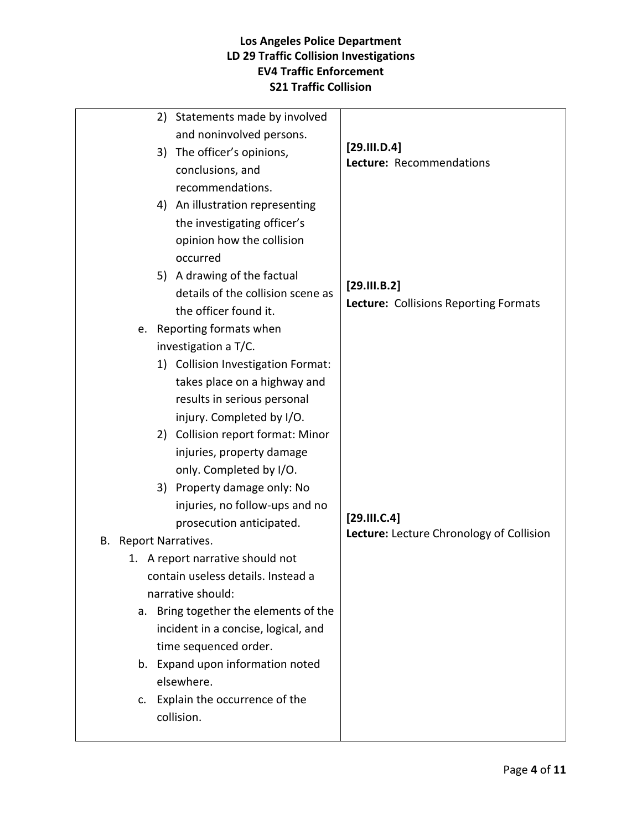| 2) Statements made by involved        |                                          |
|---------------------------------------|------------------------------------------|
| and noninvolved persons.              |                                          |
| 3) The officer's opinions,            | [29.111.D.4]<br>Lecture: Recommendations |
| conclusions, and                      |                                          |
| recommendations.                      |                                          |
| 4) An illustration representing       |                                          |
| the investigating officer's           |                                          |
| opinion how the collision             |                                          |
| occurred                              |                                          |
| 5) A drawing of the factual           |                                          |
| details of the collision scene as     | [29.111. B.2]                            |
| the officer found it.                 | Lecture: Collisions Reporting Formats    |
| e. Reporting formats when             |                                          |
| investigation a T/C.                  |                                          |
| 1) Collision Investigation Format:    |                                          |
| takes place on a highway and          |                                          |
| results in serious personal           |                                          |
| injury. Completed by I/O.             |                                          |
| 2) Collision report format: Minor     |                                          |
| injuries, property damage             |                                          |
| only. Completed by I/O.               |                                          |
| 3) Property damage only: No           |                                          |
| injuries, no follow-ups and no        |                                          |
| prosecution anticipated.              | [29.111.C.4]                             |
| B. Report Narratives.                 | Lecture: Lecture Chronology of Collision |
| 1. A report narrative should not      |                                          |
| contain useless details. Instead a    |                                          |
| narrative should:                     |                                          |
| a. Bring together the elements of the |                                          |
| incident in a concise, logical, and   |                                          |
| time sequenced order.                 |                                          |
| b. Expand upon information noted      |                                          |
| elsewhere.                            |                                          |
| c. Explain the occurrence of the      |                                          |
| collision.                            |                                          |
|                                       |                                          |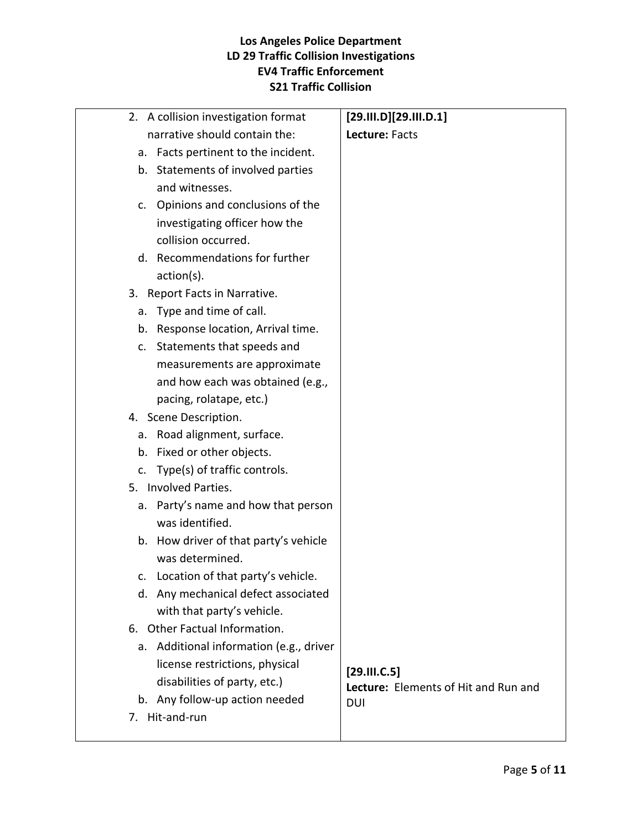| 2. A collision investigation format                            | [29.111.D][29.111.D.1]               |
|----------------------------------------------------------------|--------------------------------------|
| narrative should contain the:                                  | Lecture: Facts                       |
| Facts pertinent to the incident.<br>а.                         |                                      |
| Statements of involved parties<br>b.                           |                                      |
| and witnesses.                                                 |                                      |
| Opinions and conclusions of the<br>c.                          |                                      |
| investigating officer how the                                  |                                      |
| collision occurred.                                            |                                      |
| Recommendations for further<br>d.                              |                                      |
| $action(s)$ .                                                  |                                      |
| 3. Report Facts in Narrative.                                  |                                      |
| Type and time of call.<br>a.                                   |                                      |
| Response location, Arrival time.<br>b.                         |                                      |
| Statements that speeds and<br>c.                               |                                      |
| measurements are approximate                                   |                                      |
| and how each was obtained (e.g.,                               |                                      |
| pacing, rolatape, etc.)                                        |                                      |
| 4. Scene Description.                                          |                                      |
| Road alignment, surface.<br>a.                                 |                                      |
| Fixed or other objects.<br>b.                                  |                                      |
| Type(s) of traffic controls.<br>c.                             |                                      |
| 5. Involved Parties.                                           |                                      |
| Party's name and how that person<br>a.                         |                                      |
| was identified.                                                |                                      |
| How driver of that party's vehicle<br>b.                       |                                      |
| was determined.                                                |                                      |
| c. Location of that party's vehicle.                           |                                      |
| Any mechanical defect associated<br>d.                         |                                      |
| with that party's vehicle.                                     |                                      |
| 6. Other Factual Information.                                  |                                      |
| Additional information (e.g., driver<br>a.                     |                                      |
| license restrictions, physical                                 | [29.111.C.5]                         |
| disabilities of party, etc.)<br>b. Any follow-up action needed | Lecture: Elements of Hit and Run and |
| Hit-and-run<br>7.                                              | <b>DUI</b>                           |
|                                                                |                                      |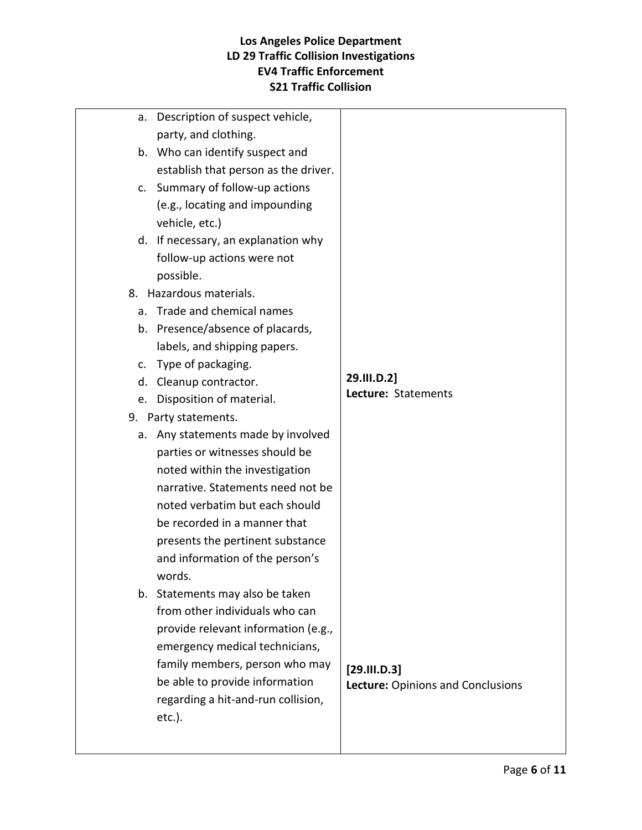| Description of suspect vehicle,<br>а. |                                   |
|---------------------------------------|-----------------------------------|
| party, and clothing.                  |                                   |
| b. Who can identify suspect and       |                                   |
| establish that person as the driver.  |                                   |
| c. Summary of follow-up actions       |                                   |
| (e.g., locating and impounding        |                                   |
| vehicle, etc.)                        |                                   |
| d. If necessary, an explanation why   |                                   |
| follow-up actions were not            |                                   |
| possible.                             |                                   |
| 8. Hazardous materials.               |                                   |
| a. Trade and chemical names           |                                   |
| b. Presence/absence of placards,      |                                   |
| labels, and shipping papers.          |                                   |
| Type of packaging.<br>C.              |                                   |
| Cleanup contractor.<br>d.             | 29.III.D.2]                       |
| e. Disposition of material.           | Lecture: Statements               |
| 9. Party statements.                  |                                   |
| a. Any statements made by involved    |                                   |
| parties or witnesses should be        |                                   |
| noted within the investigation        |                                   |
| narrative. Statements need not be     |                                   |
| noted verbatim but each should        |                                   |
| be recorded in a manner that          |                                   |
| presents the pertinent substance      |                                   |
| and information of the person's       |                                   |
| words.                                |                                   |
| b. Statements may also be taken       |                                   |
| from other individuals who can        |                                   |
| provide relevant information (e.g.,   |                                   |
| emergency medical technicians,        |                                   |
| family members, person who may        | [29.111.D.3]                      |
| be able to provide information        | Lecture: Opinions and Conclusions |
| regarding a hit-and-run collision,    |                                   |
| $etc.$ ).                             |                                   |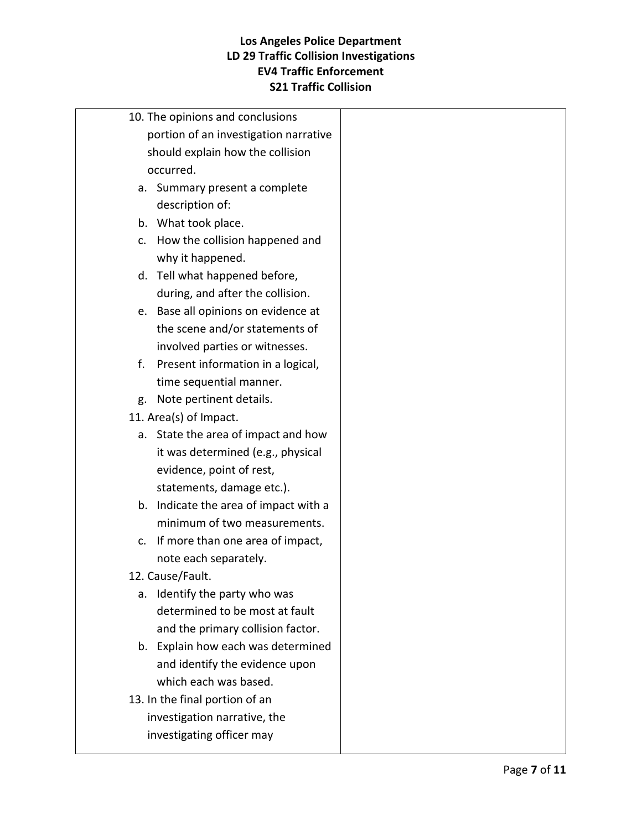|    | 10. The opinions and conclusions      |  |
|----|---------------------------------------|--|
|    | portion of an investigation narrative |  |
|    | should explain how the collision      |  |
|    | occurred.                             |  |
|    | a. Summary present a complete         |  |
|    | description of:                       |  |
|    | b. What took place.                   |  |
|    | c. How the collision happened and     |  |
|    | why it happened.                      |  |
|    | d. Tell what happened before,         |  |
|    | during, and after the collision.      |  |
|    | e. Base all opinions on evidence at   |  |
|    | the scene and/or statements of        |  |
|    | involved parties or witnesses.        |  |
| f. | Present information in a logical,     |  |
|    | time sequential manner.               |  |
|    | g. Note pertinent details.            |  |
|    | 11. Area(s) of Impact.                |  |
|    | a. State the area of impact and how   |  |
|    | it was determined (e.g., physical     |  |
|    | evidence, point of rest,              |  |
|    | statements, damage etc.).             |  |
|    | b. Indicate the area of impact with a |  |
|    | minimum of two measurements.          |  |
|    | c. If more than one area of impact,   |  |
|    | note each separately.                 |  |
|    | 12. Cause/Fault.                      |  |
| a. | Identify the party who was            |  |
|    | determined to be most at fault        |  |
|    | and the primary collision factor.     |  |
|    | b. Explain how each was determined    |  |
|    | and identify the evidence upon        |  |
|    | which each was based.                 |  |
|    | 13. In the final portion of an        |  |
|    | investigation narrative, the          |  |
|    | investigating officer may             |  |
|    |                                       |  |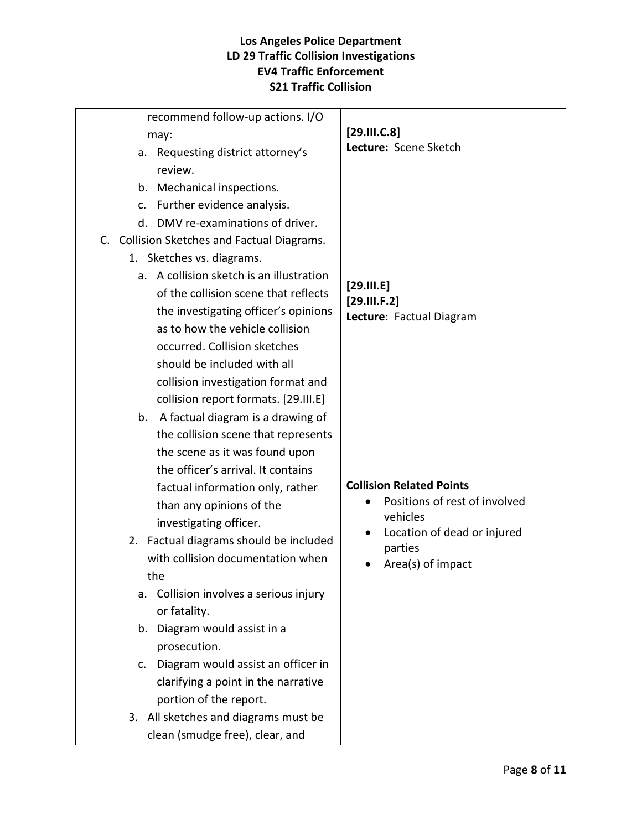| recommend follow-up actions. I/O             |                                           |
|----------------------------------------------|-------------------------------------------|
| may:                                         | [29.111.C.8]                              |
| a. Requesting district attorney's            | Lecture: Scene Sketch                     |
| review.                                      |                                           |
| b. Mechanical inspections.                   |                                           |
| Further evidence analysis.<br>C.             |                                           |
| DMV re-examinations of driver.<br>$d_{\tau}$ |                                           |
| C. Collision Sketches and Factual Diagrams.  |                                           |
| 1. Sketches vs. diagrams.                    |                                           |
| a. A collision sketch is an illustration     |                                           |
| of the collision scene that reflects         | $[29.$ $II.E]$<br>[29.111.F.2]            |
| the investigating officer's opinions         | Lecture: Factual Diagram                  |
| as to how the vehicle collision              |                                           |
| occurred. Collision sketches                 |                                           |
| should be included with all                  |                                           |
| collision investigation format and           |                                           |
| collision report formats. [29.III.E]         |                                           |
| b. A factual diagram is a drawing of         |                                           |
| the collision scene that represents          |                                           |
| the scene as it was found upon               |                                           |
| the officer's arrival. It contains           |                                           |
| factual information only, rather             | <b>Collision Related Points</b>           |
| than any opinions of the                     | Positions of rest of involved<br>vehicles |
| investigating officer.                       | Location of dead or injured               |
| 2. Factual diagrams should be included       | parties                                   |
| with collision documentation when            | Area(s) of impact                         |
| the                                          |                                           |
| Collision involves a serious injury<br>a.    |                                           |
| or fatality.                                 |                                           |
| b. Diagram would assist in a                 |                                           |
| prosecution.                                 |                                           |
| Diagram would assist an officer in<br>c.     |                                           |
| clarifying a point in the narrative          |                                           |
| portion of the report.                       |                                           |
| 3. All sketches and diagrams must be         |                                           |
| clean (smudge free), clear, and              |                                           |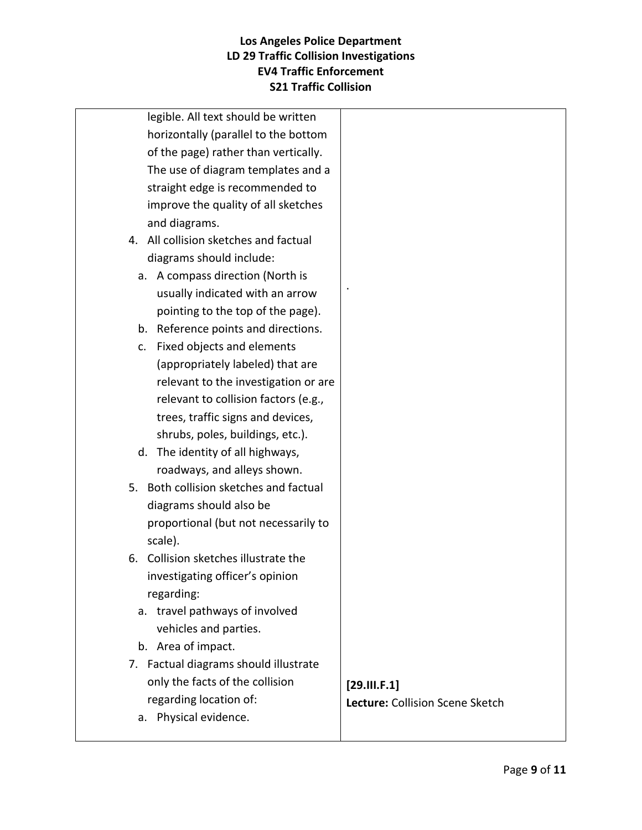| legible. All text should be written    |                                 |
|----------------------------------------|---------------------------------|
| horizontally (parallel to the bottom   |                                 |
| of the page) rather than vertically.   |                                 |
| The use of diagram templates and a     |                                 |
| straight edge is recommended to        |                                 |
| improve the quality of all sketches    |                                 |
| and diagrams.                          |                                 |
| 4. All collision sketches and factual  |                                 |
| diagrams should include:               |                                 |
| a. A compass direction (North is       |                                 |
| usually indicated with an arrow        |                                 |
| pointing to the top of the page).      |                                 |
| b. Reference points and directions.    |                                 |
| Fixed objects and elements<br>c.       |                                 |
| (appropriately labeled) that are       |                                 |
| relevant to the investigation or are   |                                 |
| relevant to collision factors (e.g.,   |                                 |
| trees, traffic signs and devices,      |                                 |
| shrubs, poles, buildings, etc.).       |                                 |
| d. The identity of all highways,       |                                 |
| roadways, and alleys shown.            |                                 |
| 5. Both collision sketches and factual |                                 |
| diagrams should also be                |                                 |
| proportional (but not necessarily to   |                                 |
| scale).                                |                                 |
| 6. Collision sketches illustrate the   |                                 |
| investigating officer's opinion        |                                 |
| regarding:                             |                                 |
| a. travel pathways of involved         |                                 |
| vehicles and parties.                  |                                 |
| b. Area of impact.                     |                                 |
| 7. Factual diagrams should illustrate  |                                 |
| only the facts of the collision        | [29.11.5.1]                     |
| regarding location of:                 | Lecture: Collision Scene Sketch |
| Physical evidence.<br>а.               |                                 |
|                                        |                                 |